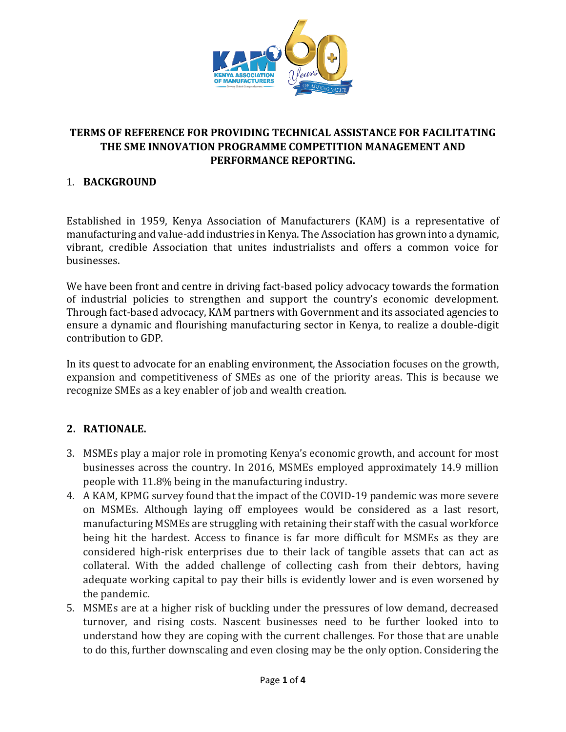

### **TERMS OF REFERENCE FOR PROVIDING TECHNICAL ASSISTANCE FOR FACILITATING THE SME INNOVATION PROGRAMME COMPETITION MANAGEMENT AND PERFORMANCE REPORTING.**

#### 1. **BACKGROUND**

Established in 1959, Kenya Association of Manufacturers (KAM) is a representative of manufacturing and value-add industries in Kenya. The Association has grown into a dynamic, vibrant, credible Association that unites industrialists and offers a common voice for businesses.

We have been front and centre in driving fact-based policy advocacy towards the formation of industrial policies to strengthen and support the country's economic development. Through fact-based advocacy, KAM partners with Government and its associated agencies to ensure a dynamic and flourishing manufacturing sector in Kenya, to realize a double-digit contribution to GDP.

In its quest to advocate for an enabling environment, the Association focuses on the growth, expansion and competitiveness of SMEs as one of the priority areas. This is because we recognize SMEs as a key enabler of job and wealth creation.

### **2. RATIONALE.**

- 3. MSMEs play a major role in promoting Kenya's economic growth, and account for most businesses across the country. In 2016, MSMEs employed approximately 14.9 million people with 11.8% being in the manufacturing industry.
- 4. A KAM, KPMG survey found that the impact of the COVID-19 pandemic was more severe on MSMEs. Although laying off employees would be considered as a last resort, manufacturing MSMEs are struggling with retaining their staff with the casual workforce being hit the hardest. Access to finance is far more difficult for MSMEs as they are considered high-risk enterprises due to their lack of tangible assets that can act as collateral. With the added challenge of collecting cash from their debtors, having adequate working capital to pay their bills is evidently lower and is even worsened by the pandemic.
- 5. MSMEs are at a higher risk of buckling under the pressures of low demand, decreased turnover, and rising costs. Nascent businesses need to be further looked into to understand how they are coping with the current challenges. For those that are unable to do this, further downscaling and even closing may be the only option. Considering the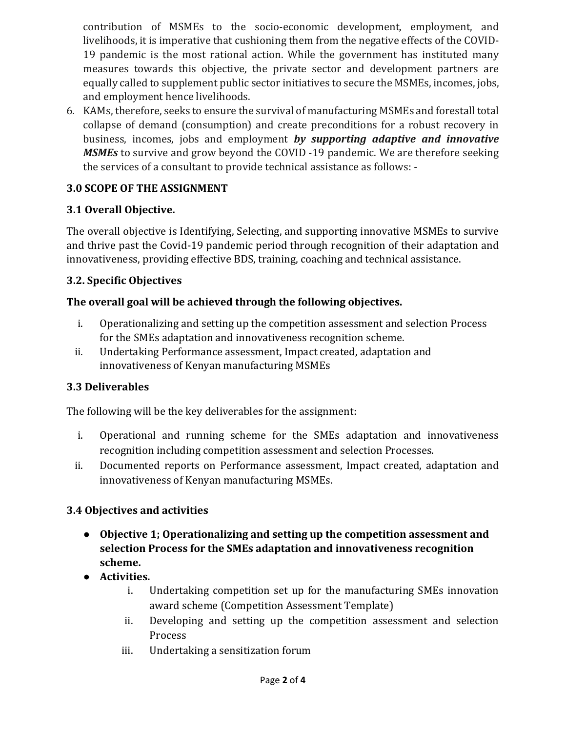contribution of MSMEs to the socio-economic development, employment, and livelihoods, it is imperative that cushioning them from the negative effects of the COVID-19 pandemic is the most rational action. While the government has instituted many measures towards this objective, the private sector and development partners are equally called to supplement public sector initiatives to secure the MSMEs, incomes, jobs, and employment hence livelihoods.

6. KAMs, therefore, seeks to ensure the survival of manufacturing MSMEs and forestall total collapse of demand (consumption) and create preconditions for a robust recovery in business, incomes, jobs and employment *by supporting adaptive and innovative MSMEs* to survive and grow beyond the COVID -19 pandemic. We are therefore seeking the services of a consultant to provide technical assistance as follows: -

# **3.0 SCOPE OF THE ASSIGNMENT**

### **3.1 Overall Objective.**

The overall objective is Identifying, Selecting, and supporting innovative MSMEs to survive and thrive past the Covid-19 pandemic period through recognition of their adaptation and innovativeness, providing effective BDS, training, coaching and technical assistance.

### **3.2. Specific Objectives**

# **The overall goal will be achieved through the following objectives.**

- i. Operationalizing and setting up the competition assessment and selection Process for the SMEs adaptation and innovativeness recognition scheme.
- ii. Undertaking Performance assessment, Impact created, adaptation and innovativeness of Kenyan manufacturing MSMEs

# **3.3 Deliverables**

The following will be the key deliverables for the assignment:

- i. Operational and running scheme for the SMEs adaptation and innovativeness recognition including competition assessment and selection Processes.
- ii. Documented reports on Performance assessment, Impact created, adaptation and innovativeness of Kenyan manufacturing MSMEs.

# **3.4 Objectives and activities**

- **Objective 1; Operationalizing and setting up the competition assessment and selection Process for the SMEs adaptation and innovativeness recognition scheme.**
- **Activities.**
	- i. Undertaking competition set up for the manufacturing SMEs innovation award scheme (Competition Assessment Template)
	- ii. Developing and setting up the competition assessment and selection Process
	- iii. Undertaking a sensitization forum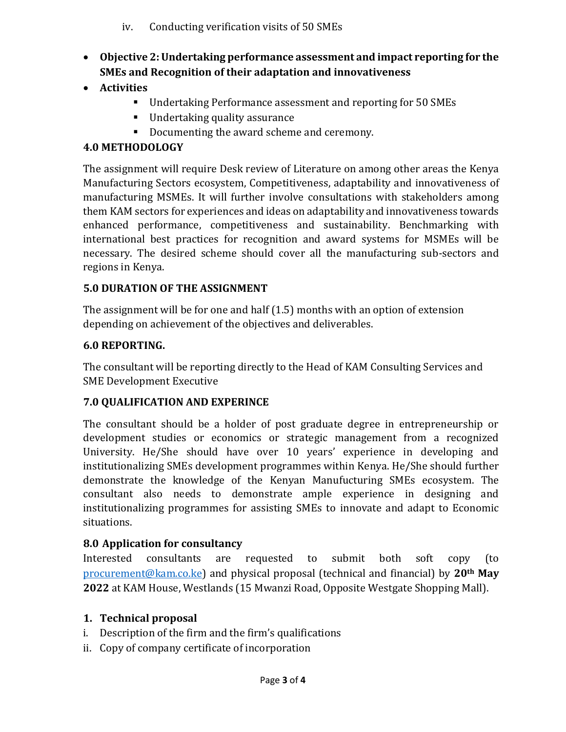- iv. Conducting verification visits of 50 SMEs
- **Objective 2: Undertaking performance assessment and impact reporting for the SMEs and Recognition of their adaptation and innovativeness**
- **Activities**
	- Undertaking Performance assessment and reporting for 50 SMEs
	- Undertaking quality assurance
	- Documenting the award scheme and ceremony.

### **4.0 METHODOLOGY**

The assignment will require Desk review of Literature on among other areas the Kenya Manufacturing Sectors ecosystem, Competitiveness, adaptability and innovativeness of manufacturing MSMEs. It will further involve consultations with stakeholders among them KAM sectors for experiences and ideas on adaptability and innovativeness towards enhanced performance, competitiveness and sustainability. Benchmarking with international best practices for recognition and award systems for MSMEs will be necessary. The desired scheme should cover all the manufacturing sub-sectors and regions in Kenya.

### **5.0 DURATION OF THE ASSIGNMENT**

The assignment will be for one and half (1.5) months with an option of extension depending on achievement of the objectives and deliverables.

### **6.0 REPORTING.**

The consultant will be reporting directly to the Head of KAM Consulting Services and SME Development Executive

### **7.0 QUALIFICATION AND EXPERINCE**

The consultant should be a holder of post graduate degree in entrepreneurship or development studies or economics or strategic management from a recognized University. He/She should have over 10 years' experience in developing and institutionalizing SMEs development programmes within Kenya. He/She should further demonstrate the knowledge of the Kenyan Manufucturing SMEs ecosystem. The consultant also needs to demonstrate ample experience in designing and institutionalizing programmes for assisting SMEs to innovate and adapt to Economic situations.

# **8.0 Application for consultancy**

Interested consultants are requested to submit both soft copy (to [procurement@kam.co.ke\)](mailto:procurement@kam.co.ke) and physical proposal (technical and financial) by **20th May 2022** at KAM House, Westlands (15 Mwanzi Road, Opposite Westgate Shopping Mall).

### **1. Technical proposal**

- i. Description of the firm and the firm's qualifications
- ii. Copy of company certificate of incorporation